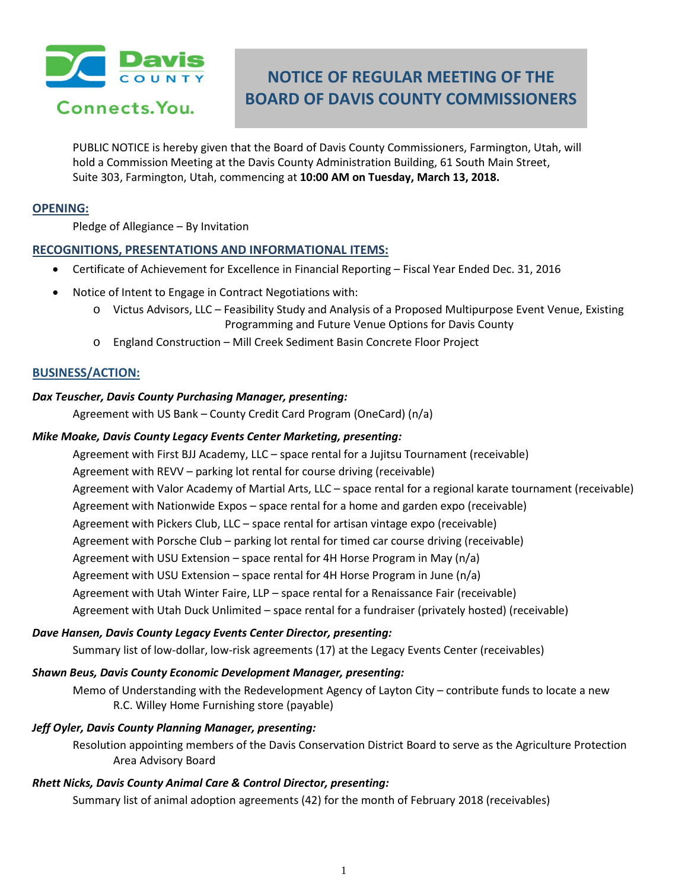

Connects. You.

# **NOTICE OF REGULAR MEETING OF THE BOARD OF DAVIS COUNTY COMMISSIONERS**

PUBLIC NOTICE is hereby given that the Board of Davis County Commissioners, Farmington, Utah, will hold a Commission Meeting at the Davis County Administration Building, 61 South Main Street, Suite 303, Farmington, Utah, commencing at **10:00 AM on Tuesday, March 13, 2018.**

#### **OPENING:**

Pledge of Allegiance – By Invitation

### **RECOGNITIONS, PRESENTATIONS AND INFORMATIONAL ITEMS:**

- Certificate of Achievement for Excellence in Financial Reporting Fiscal Year Ended Dec. 31, 2016
- Notice of Intent to Engage in Contract Negotiations with:
	- o Victus Advisors, LLC Feasibility Study and Analysis of a Proposed Multipurpose Event Venue, Existing Programming and Future Venue Options for Davis County
	- o England Construction Mill Creek Sediment Basin Concrete Floor Project

# **BUSINESS/ACTION:**

#### *Dax Teuscher, Davis County Purchasing Manager, presenting:*

Agreement with US Bank – County Credit Card Program (OneCard) (n/a)

### *Mike Moake, Davis County Legacy Events Center Marketing, presenting:*

Agreement with First BJJ Academy, LLC – space rental for a Jujitsu Tournament (receivable) Agreement with REVV – parking lot rental for course driving (receivable) Agreement with Valor Academy of Martial Arts, LLC – space rental for a regional karate tournament (receivable) Agreement with Nationwide Expos – space rental for a home and garden expo (receivable) Agreement with Pickers Club, LLC – space rental for artisan vintage expo (receivable) Agreement with Porsche Club – parking lot rental for timed car course driving (receivable) Agreement with USU Extension – space rental for 4H Horse Program in May (n/a) Agreement with USU Extension – space rental for 4H Horse Program in June (n/a) Agreement with Utah Winter Faire, LLP – space rental for a Renaissance Fair (receivable) Agreement with Utah Duck Unlimited – space rental for a fundraiser (privately hosted) (receivable)

#### *Dave Hansen, Davis County Legacy Events Center Director, presenting:*

Summary list of low-dollar, low-risk agreements (17) at the Legacy Events Center (receivables)

#### *Shawn Beus, Davis County Economic Development Manager, presenting:*

Memo of Understanding with the Redevelopment Agency of Layton City – contribute funds to locate a new R.C. Willey Home Furnishing store (payable)

#### *Jeff Oyler, Davis County Planning Manager, presenting:*

Resolution appointing members of the Davis Conservation District Board to serve as the Agriculture Protection Area Advisory Board

# *Rhett Nicks, Davis County Animal Care & Control Director, presenting:*

Summary list of animal adoption agreements (42) for the month of February 2018 (receivables)